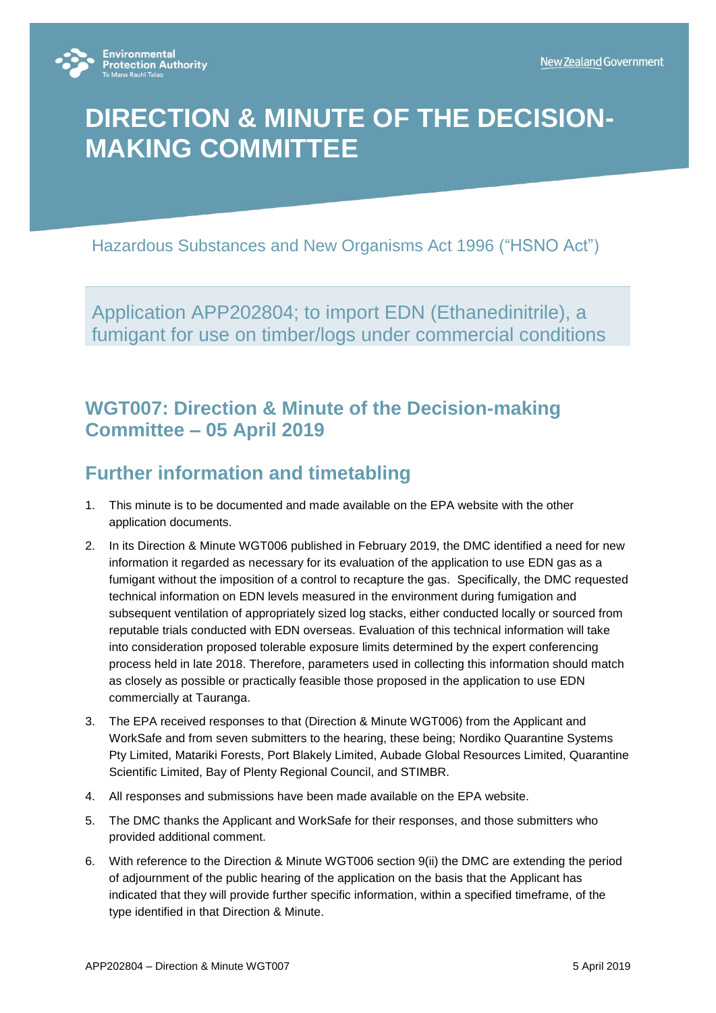

# **DIRECTION & MINUTE OF THE DECISION-MAKING COMMITTEE**

Hazardous Substances and New Organisms Act 1996 ("HSNO Act")

Application APP202804; to import EDN (Ethanedinitrile), a fumigant for use on timber/logs under commercial conditions

### **WGT007: Direction & Minute of the Decision-making Committee – 05 April 2019**

## **Further information and timetabling**

- 1. This minute is to be documented and made available on the EPA website with the other application documents.
- 2. In its Direction & Minute WGT006 published in February 2019, the DMC identified a need for new information it regarded as necessary for its evaluation of the application to use EDN gas as a fumigant without the imposition of a control to recapture the gas. Specifically, the DMC requested technical information on EDN levels measured in the environment during fumigation and subsequent ventilation of appropriately sized log stacks, either conducted locally or sourced from reputable trials conducted with EDN overseas. Evaluation of this technical information will take into consideration proposed tolerable exposure limits determined by the expert conferencing process held in late 2018. Therefore, parameters used in collecting this information should match as closely as possible or practically feasible those proposed in the application to use EDN commercially at Tauranga.
- 3. The EPA received responses to that (Direction & Minute WGT006) from the Applicant and WorkSafe and from seven submitters to the hearing, these being; Nordiko Quarantine Systems Pty Limited, Matariki Forests, Port Blakely Limited, Aubade Global Resources Limited, Quarantine Scientific Limited, Bay of Plenty Regional Council, and STIMBR.
- 4. All responses and submissions have been made available on the EPA website.
- 5. The DMC thanks the Applicant and WorkSafe for their responses, and those submitters who provided additional comment.
- 6. With reference to the Direction & Minute WGT006 section 9(ii) the DMC are extending the period of adjournment of the public hearing of the application on the basis that the Applicant has indicated that they will provide further specific information, within a specified timeframe, of the type identified in that Direction & Minute.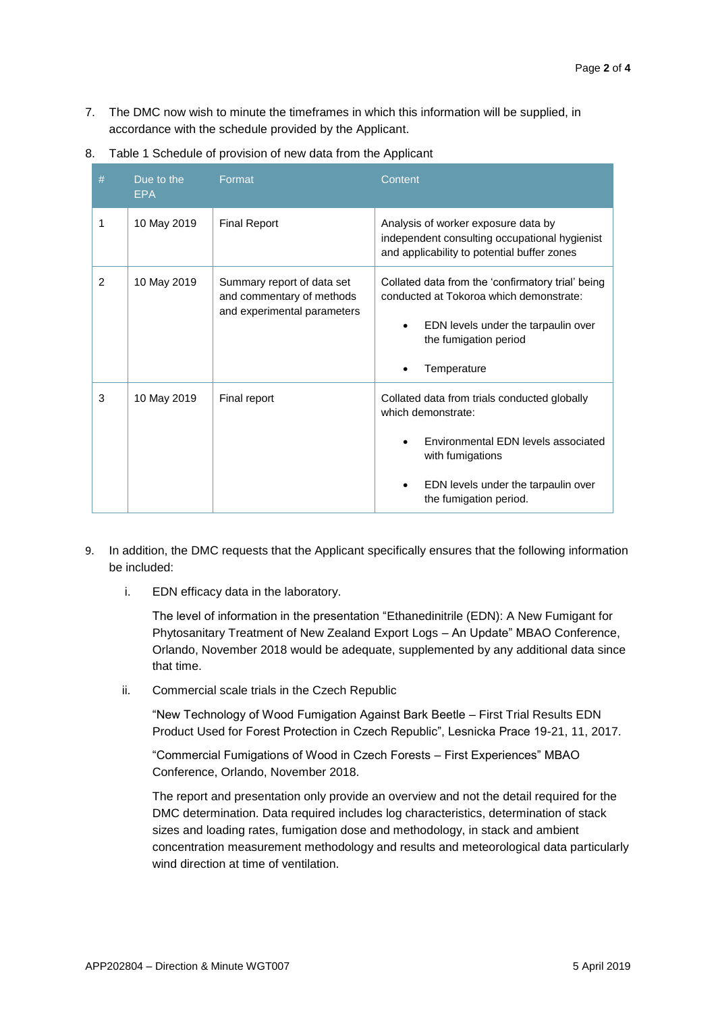7. The DMC now wish to minute the timeframes in which this information will be supplied, in accordance with the schedule provided by the Applicant.

| #             | Due to the<br>EPA | Format                                                                                 | Content                                                                                                                                                                                        |
|---------------|-------------------|----------------------------------------------------------------------------------------|------------------------------------------------------------------------------------------------------------------------------------------------------------------------------------------------|
| 1             | 10 May 2019       | <b>Final Report</b>                                                                    | Analysis of worker exposure data by<br>independent consulting occupational hygienist<br>and applicability to potential buffer zones                                                            |
| $\mathcal{P}$ | 10 May 2019       | Summary report of data set<br>and commentary of methods<br>and experimental parameters | Collated data from the 'confirmatory trial' being<br>conducted at Tokoroa which demonstrate:<br>EDN levels under the tarpaulin over<br>the fumigation period<br>Temperature                    |
| 3             | 10 May 2019       | Final report                                                                           | Collated data from trials conducted globally<br>which demonstrate:<br>Environmental EDN levels associated<br>with fumigations<br>EDN levels under the tarpaulin over<br>the fumigation period. |

8. Table 1 Schedule of provision of new data from the Applicant

- 9. In addition, the DMC requests that the Applicant specifically ensures that the following information be included:
	- i. EDN efficacy data in the laboratory.

The level of information in the presentation "Ethanedinitrile (EDN): A New Fumigant for Phytosanitary Treatment of New Zealand Export Logs – An Update" MBAO Conference, Orlando, November 2018 would be adequate, supplemented by any additional data since that time.

ii. Commercial scale trials in the Czech Republic

"New Technology of Wood Fumigation Against Bark Beetle – First Trial Results EDN Product Used for Forest Protection in Czech Republic", Lesnicka Prace 19-21, 11, 2017.

"Commercial Fumigations of Wood in Czech Forests – First Experiences" MBAO Conference, Orlando, November 2018.

The report and presentation only provide an overview and not the detail required for the DMC determination. Data required includes log characteristics, determination of stack sizes and loading rates, fumigation dose and methodology, in stack and ambient concentration measurement methodology and results and meteorological data particularly wind direction at time of ventilation.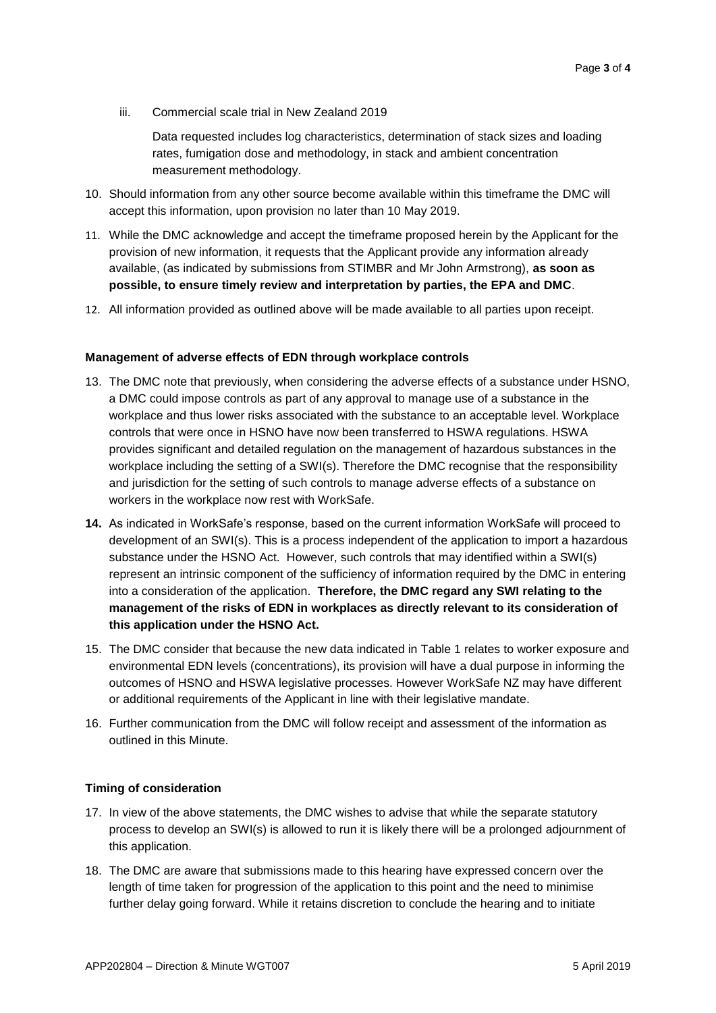iii. Commercial scale trial in New Zealand 2019

Data requested includes log characteristics, determination of stack sizes and loading rates, fumigation dose and methodology, in stack and ambient concentration measurement methodology.

- 10. Should information from any other source become available within this timeframe the DMC will accept this information, upon provision no later than 10 May 2019.
- 11. While the DMC acknowledge and accept the timeframe proposed herein by the Applicant for the provision of new information, it requests that the Applicant provide any information already available, (as indicated by submissions from STIMBR and Mr John Armstrong), **as soon as possible, to ensure timely review and interpretation by parties, the EPA and DMC**.
- 12. All information provided as outlined above will be made available to all parties upon receipt.

#### **Management of adverse effects of EDN through workplace controls**

- 13. The DMC note that previously, when considering the adverse effects of a substance under HSNO, a DMC could impose controls as part of any approval to manage use of a substance in the workplace and thus lower risks associated with the substance to an acceptable level. Workplace controls that were once in HSNO have now been transferred to HSWA regulations. HSWA provides significant and detailed regulation on the management of hazardous substances in the workplace including the setting of a SWI(s). Therefore the DMC recognise that the responsibility and jurisdiction for the setting of such controls to manage adverse effects of a substance on workers in the workplace now rest with WorkSafe.
- **14.** As indicated in WorkSafe's response, based on the current information WorkSafe will proceed to development of an SWI(s). This is a process independent of the application to import a hazardous substance under the HSNO Act. However, such controls that may identified within a SWI(s) represent an intrinsic component of the sufficiency of information required by the DMC in entering into a consideration of the application. **Therefore, the DMC regard any SWI relating to the management of the risks of EDN in workplaces as directly relevant to its consideration of this application under the HSNO Act.**
- 15. The DMC consider that because the new data indicated in Table 1 relates to worker exposure and environmental EDN levels (concentrations), its provision will have a dual purpose in informing the outcomes of HSNO and HSWA legislative processes. However WorkSafe NZ may have different or additional requirements of the Applicant in line with their legislative mandate.
- 16. Further communication from the DMC will follow receipt and assessment of the information as outlined in this Minute.

#### **Timing of consideration**

- 17. In view of the above statements, the DMC wishes to advise that while the separate statutory process to develop an SWI(s) is allowed to run it is likely there will be a prolonged adjournment of this application.
- 18. The DMC are aware that submissions made to this hearing have expressed concern over the length of time taken for progression of the application to this point and the need to minimise further delay going forward. While it retains discretion to conclude the hearing and to initiate